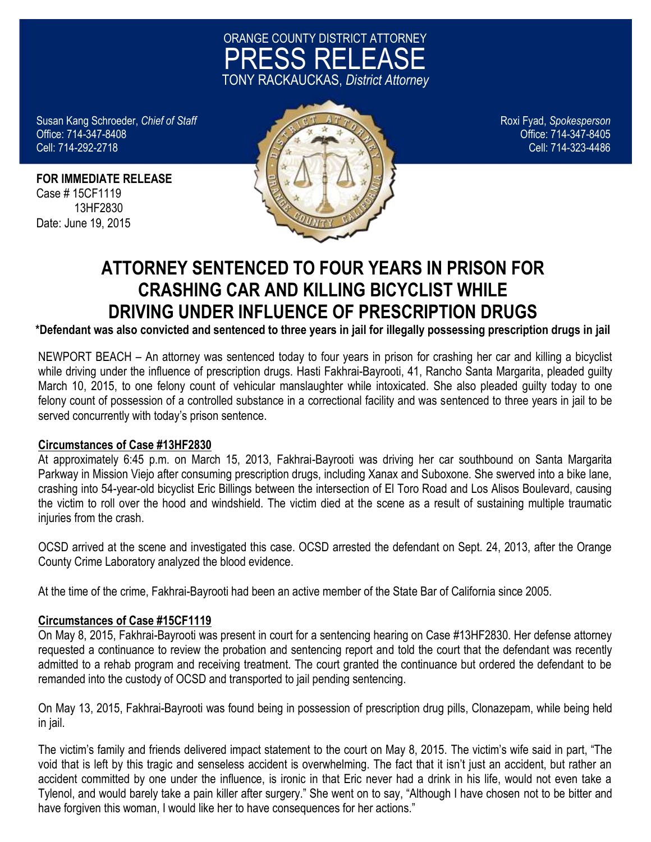

Cell: 714-292-2718

**FOR IMMEDIATE RELEASE** Case # 15CF1119 13HF2830 Date: June 19, 2015



## **ATTORNEY SENTENCED TO FOUR YEARS IN PRISON FOR CRASHING CAR AND KILLING BICYCLIST WHILE DRIVING UNDER INFLUENCE OF PRESCRIPTION DRUGS**

**\*Defendant was also convicted and sentenced to three years in jail for illegally possessing prescription drugs in jail**

NEWPORT BEACH – An attorney was sentenced today to four years in prison for crashing her car and killing a bicyclist while driving under the influence of prescription drugs. Hasti Fakhrai-Bayrooti, 41, Rancho Santa Margarita, pleaded guilty March 10, 2015, to one felony count of vehicular manslaughter while intoxicated. She also pleaded guilty today to one felony count of possession of a controlled substance in a correctional facility and was sentenced to three years in jail to be served concurrently with today's prison sentence.

## **Circumstances of Case #13HF2830**

At approximately 6:45 p.m. on March 15, 2013, Fakhrai-Bayrooti was driving her car southbound on Santa Margarita Parkway in Mission Viejo after consuming prescription drugs, including Xanax and Suboxone. She swerved into a bike lane, crashing into 54-year-old bicyclist Eric Billings between the intersection of El Toro Road and Los Alisos Boulevard, causing the victim to roll over the hood and windshield. The victim died at the scene as a result of sustaining multiple traumatic injuries from the crash.

OCSD arrived at the scene and investigated this case. OCSD arrested the defendant on Sept. 24, 2013, after the Orange County Crime Laboratory analyzed the blood evidence.

At the time of the crime, Fakhrai-Bayrooti had been an active member of the State Bar of California since 2005.

## **Circumstances of Case #15CF1119**

On May 8, 2015, Fakhrai-Bayrooti was present in court for a sentencing hearing on Case #13HF2830. Her defense attorney requested a continuance to review the probation and sentencing report and told the court that the defendant was recently admitted to a rehab program and receiving treatment. The court granted the continuance but ordered the defendant to be remanded into the custody of OCSD and transported to jail pending sentencing.

On May 13, 2015, Fakhrai-Bayrooti was found being in possession of prescription drug pills, Clonazepam, while being held in jail.

The victim's family and friends delivered impact statement to the court on May 8, 2015. The victim's wife said in part, "The void that is left by this tragic and senseless accident is overwhelming. The fact that it isn't just an accident, but rather an accident committed by one under the influence, is ironic in that Eric never had a drink in his life, would not even take a Tylenol, and would barely take a pain killer after surgery." She went on to say, "Although I have chosen not to be bitter and have forgiven this woman. I would like her to have consequences for her actions."